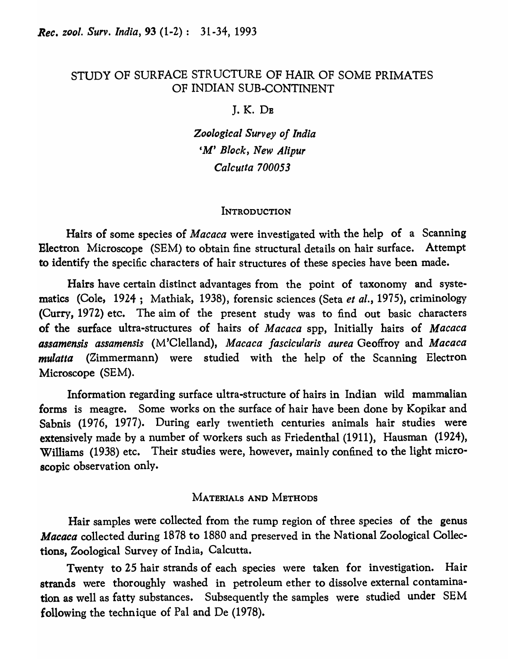# STUDY OF SURFACE STRUCTURE OF HAIR OF SOME PRIMATES OF INDIAN SUB-CONTINENT

J.K.DB

*Zoological Survey of India 'M' Block, New Alipur Calcutta 700053* 

#### **INTRODUCTION**

Hairs of some species of *Macaca* were investigated with the help of a Scanning Electron Microscope (SEM) to obtain fine structural details on hair surface. Attempt to identify the specific characters of hair structures of these species have been made.

Hairs have certain distinct advantages from the point of taxonomy and systematics (Cole, 1924; Mathiak, 1938), forensic sciences (Seta *et al.,* 1975), criminology (Curry, 1972) etc. The aim of the present study was to find out basic characters of the surface ultra-structures of hairs of *Macaca* spp, Initially hairs of *Macaca assamensis assamensis* (M'Clelland), *Macaca fascicularis aurea* Geoffroy and *Macaca mulatta* (Zimmermann) were studied with the help of the Scanning Electron Microscope (SEM).

Information regarding surface ultra-structure of hairs in Indian wild mammalian forms is meagre. Some works on the surface of hair have been done by Kopikar and Sabnis (1976, 1977). During early twentieth centuries animals hair studies were extensively made by a number of workers such as Friedenthal (1911), Hausman (1924), Williams (1938) etc. Their studies were, however, mainly confined to the light microscopic observation only.

## MATERIALS AND METHODS

Hair samples were collected from the rump region of three species of the genus *Macaca* collected during 1878 to 1880 and preserved in the National Zoological Collections, Zoological Survey of India, Calcutta.

Twenty to 25 hair strands of each species were taken for investigation. Hair strands were thoroughly washed in petroleum ether to dissolve external contamination as well as fatty substances. Subsequently the samples were studied under SEM following the technique of Pal and De (1978).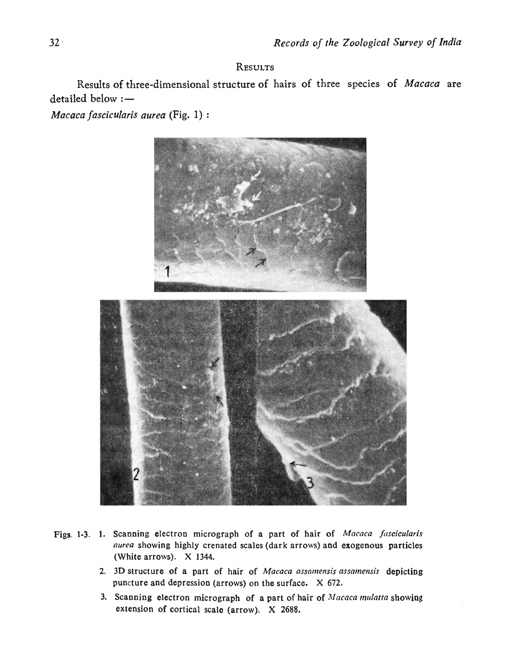### RESULTS

Results of three-dimensional structure of hairs of three species of *Macaca* are  $d$ etailed below  $:$   $-$ 

*Macaca fascicularis aurea* (Fig. 1) :



- Figs. 1-3. 1. Scanning electron micrograph of a part of hair of *Macaca fascicularis aurea* showing highly crenated scales (dark arrows) and exogenous particles (White arrows). X 1344.
	- 2. 3D structure of a part of hair of *Macaca assamensis assamensis* depicting puncture and depression (arrows) on the surface.  $X$  672.
	- 3. Scanning electron micrograph of a part of hair of Macaca mulatta showing extension of cortical scale ( $arrow$ ).  $X$  2688.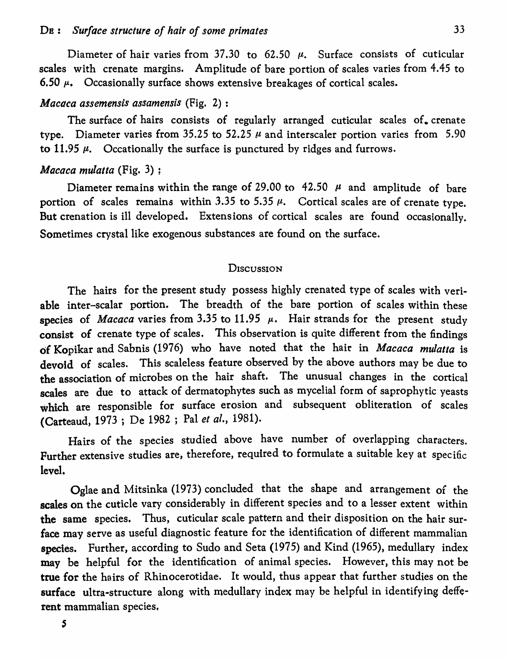Diameter of hair varies from 37.30 to 62.50  $\mu$ . Surface consists of cuticular scales with crenate margins. Amplitude of bare portion of scales varies from 4.45 to 6.50  $\mu$ . Occasionally surface shows extensive breakages of cortical scales.

### *Macoca assemensis assamensis* (Fig. 2) :

The surface of hairs consists of regularly arranged cuticular scales of. crenate type. Diameter varies from 35.25 to 52.25  $\mu$  and interscaler portion varies from 5.90 to 11.95  $\mu$ . Occationally the surface is punctured by ridges and furrows.

### *Mococa mulatta* (Fig. 3) ;

Diameter remains within the range of 29.00 to 42.50  $\mu$  and amplitude of bare portion of scales remains within 3.35 to 5.35  $\mu$ . Cortical scales are of crenate type. But crenation is ill developed. Extensions of cortical scales are found occasionally. Sometimes crystal like exogenous substances are found on the surface.

#### **DISCUSSION**

The hairs for the present study possess highly crenated type of scales with veriable inter-scalar portion. The breadth of the bare portion of scales within these species of *Macaca* varies from 3.35 to 11.95  $\mu$ . Hair strands for the present study consist of crenate type of scales. This observation is quite different from the findings of Kopikar and Sabnis (1976) who have noted that the hair in *Macaca mulatta* is devoid of scales. This scaleless feature observed by the above authors may be due to the association of microbes on the hair shaft. The unusual changes in the cortical scales are due to attack of dermatophytes such as mycelial form of saprophytic yeasts which are responsible for surface erosion and subsequent obliteration of scales (Carteaud, 1973 ; De 1982 ; Pal *et al., 1981).* 

Hairs of the species studied above have number of overlapping characters. Further extensive studies are, therefore, required to formulate a suitable key at specific level.

Oglae and Mitsinka (1973) concluded that the shape and arrangement of the scales on the cuticle vary considerably in different species and to a lesser extent within the same species. Thus, cuticular scale pattern and their disposition on the hair surface may serve as useful diagnostic feature for the identification of different mammalian species. Further, according to Sudo and Seta (1975) and Kind (1965), medullary index may be helpful for the identification of animal species. However, this may not be true for the hairs of Rhinocerotidae. It would, thus appear that further studies on the surface ultra-structure along with medullary index may be helpful in identifying defferent mammalian species,